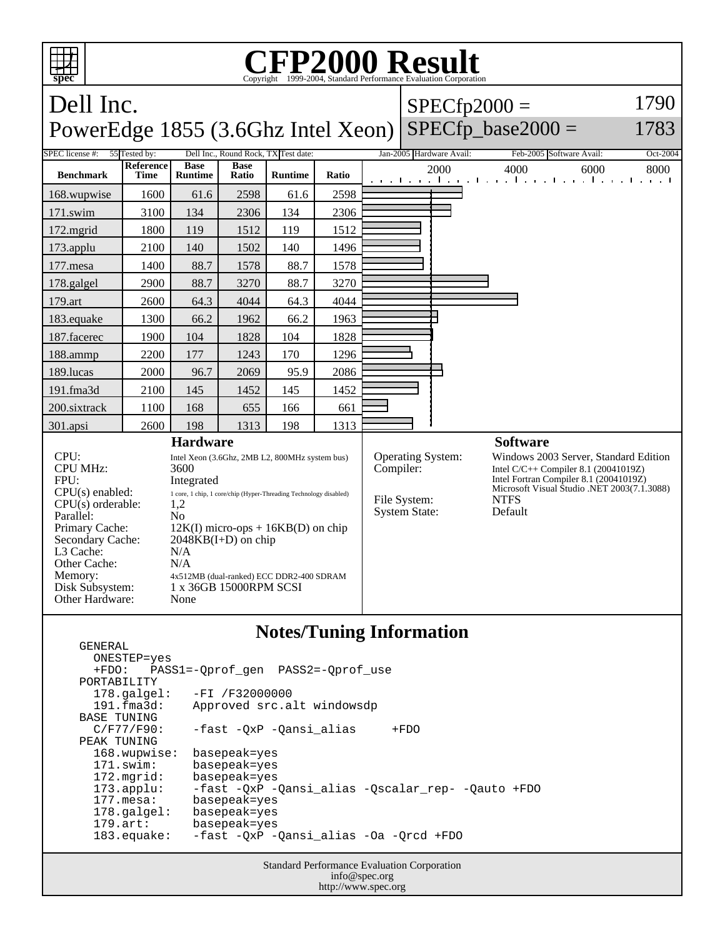

## **Notes/Tuning Information**

 ONESTEP=yes +FDO: PASS1=-Qprof\_gen PASS2=-Qprof\_use PORTABILITY<br>178.galgel: -FI /F32000000 191.fma3d: Approved src.alt windowsdp BASE TUNING<br>C/F77/F90: -fast -QxP -Qansi\_alias +FDO PEAK TUNING 168.wupwise: basepeak=yes 171.swim: basepeak=yes 172.mgrid: basepeak=yes<br>173.applu: -fast -QxP - 173.applu: -fast -QxP -Qansi\_alias -Qscalar\_rep- -Qauto +FDO basepeak=yes 178.galgel: basepeak=yes 179.art: basepeak=yes 183.equake: -fast -QxP -Qansi\_alias -Oa -Qrcd +FDO

GENERAL

Standard Performance Evaluation Corporation info@spec.org http://www.spec.org